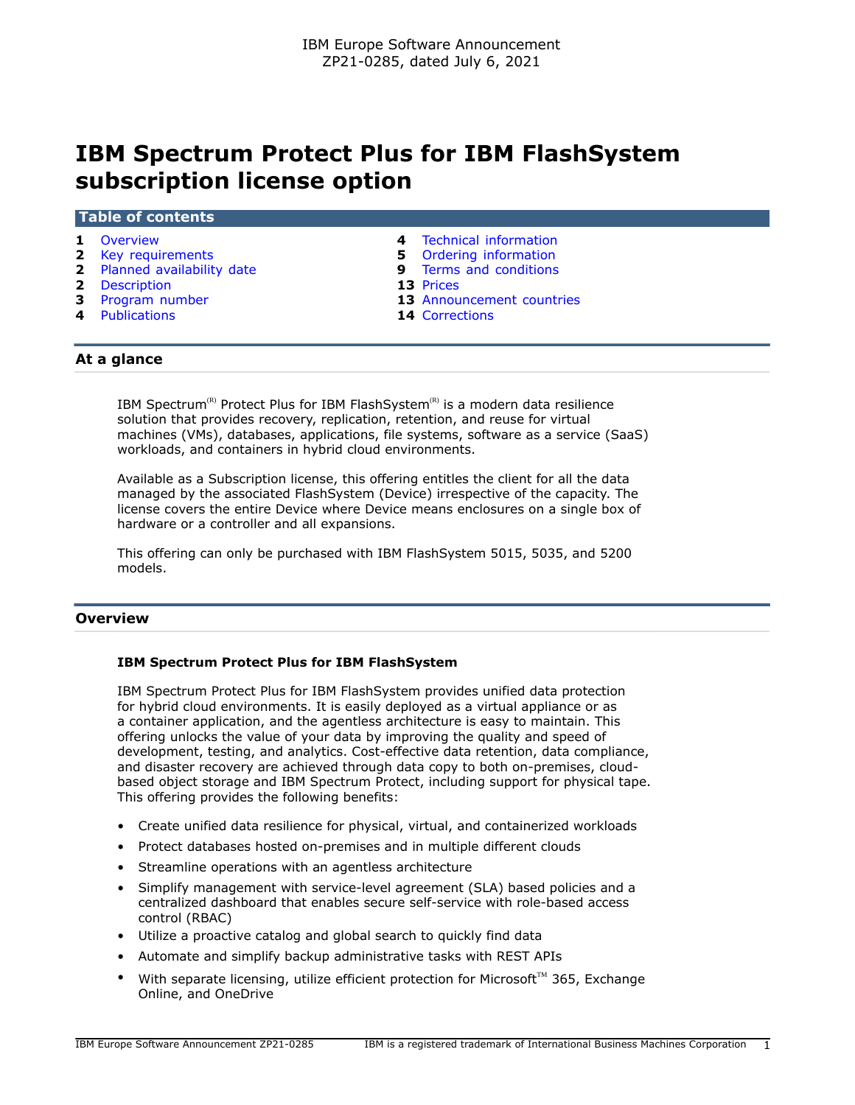# **IBM Spectrum Protect Plus for IBM FlashSystem subscription license option**

#### **Table of contents**

- 
- **2** [Key requirements](#page-1-0) **5** [Ordering information](#page-4-0)
- **2** [Planned availability date](#page-1-1) **9** [Terms and conditions](#page-8-0)
- **2** [Description](#page-1-2) **13** [Prices](#page-12-0)
- 
- **4** [Publications](#page-3-1) **14** [Corrections](#page-13-0)
- **1** [Overview](#page-0-0) **4** [Technical information](#page-3-0)
	-
	-
	-
- **3** [Program number](#page-2-0) **13** [Announcement countries](#page-12-1)
	-

## **At a glance**

IBM Spectrum<sup>(R)</sup> Protect Plus for IBM FlashSystem<sup>(R)</sup> is a modern data resilience solution that provides recovery, replication, retention, and reuse for virtual machines (VMs), databases, applications, file systems, software as a service (SaaS) workloads, and containers in hybrid cloud environments.

Available as a Subscription license, this offering entitles the client for all the data managed by the associated FlashSystem (Device) irrespective of the capacity. The license covers the entire Device where Device means enclosures on a single box of hardware or a controller and all expansions.

This offering can only be purchased with IBM FlashSystem 5015, 5035, and 5200 models.

#### <span id="page-0-0"></span>**Overview**

#### **IBM Spectrum Protect Plus for IBM FlashSystem**

IBM Spectrum Protect Plus for IBM FlashSystem provides unified data protection for hybrid cloud environments. It is easily deployed as a virtual appliance or as a container application, and the agentless architecture is easy to maintain. This offering unlocks the value of your data by improving the quality and speed of development, testing, and analytics. Cost-effective data retention, data compliance, and disaster recovery are achieved through data copy to both on-premises, cloudbased object storage and IBM Spectrum Protect, including support for physical tape. This offering provides the following benefits:

- Create unified data resilience for physical, virtual, and containerized workloads
- Protect databases hosted on-premises and in multiple different clouds
- Streamline operations with an agentless architecture
- Simplify management with service-level agreement (SLA) based policies and a centralized dashboard that enables secure self-service with role-based access control (RBAC)
- Utilize a proactive catalog and global search to quickly find data
- Automate and simplify backup administrative tasks with REST APIs
- With separate licensing, utilize efficient protection for Microsoft<sup>TM</sup> 365, Exchange Online, and OneDrive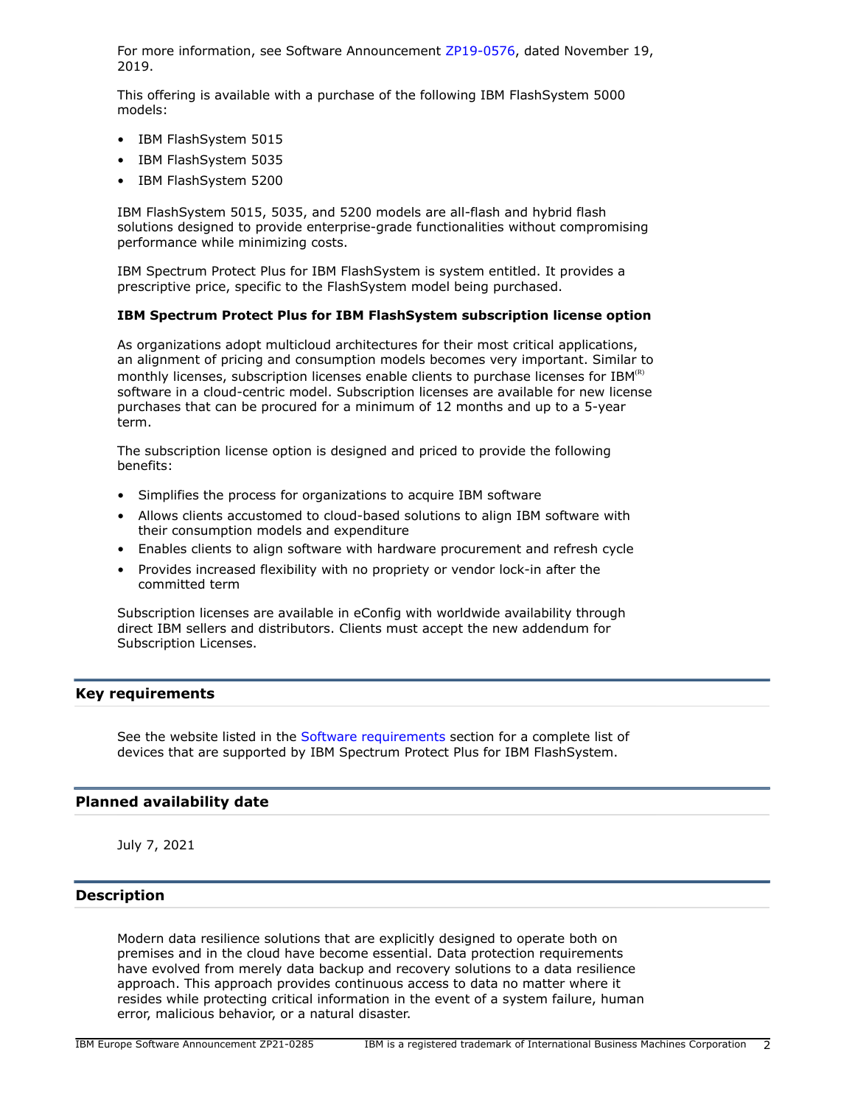For more information, see Software Announcement [ZP19-0576](http://www.ibm.com/common/ssi/cgi-bin/ssialias?infotype=an&subtype=ca&appname=gpateam&supplier=877&letternum=ENUSZP19-0576), dated November 19, 2019.

This offering is available with a purchase of the following IBM FlashSystem 5000 models:

- IBM FlashSystem 5015
- IBM FlashSystem 5035
- IBM FlashSystem 5200

IBM FlashSystem 5015, 5035, and 5200 models are all-flash and hybrid flash solutions designed to provide enterprise-grade functionalities without compromising performance while minimizing costs.

IBM Spectrum Protect Plus for IBM FlashSystem is system entitled. It provides a prescriptive price, specific to the FlashSystem model being purchased.

## **IBM Spectrum Protect Plus for IBM FlashSystem subscription license option**

As organizations adopt multicloud architectures for their most critical applications, an alignment of pricing and consumption models becomes very important. Similar to monthly licenses, subscription licenses enable clients to purchase licenses for  $IBM^{(R)}$ software in a cloud-centric model. Subscription licenses are available for new license purchases that can be procured for a minimum of 12 months and up to a 5-year term.

The subscription license option is designed and priced to provide the following benefits:

- Simplifies the process for organizations to acquire IBM software
- Allows clients accustomed to cloud-based solutions to align IBM software with their consumption models and expenditure
- Enables clients to align software with hardware procurement and refresh cycle
- Provides increased flexibility with no propriety or vendor lock-in after the committed term

Subscription licenses are available in eConfig with worldwide availability through direct IBM sellers and distributors. Clients must accept the new addendum for Subscription Licenses.

## <span id="page-1-0"></span>**Key requirements**

See the website listed in the [Software requirements](#page-3-2) section for a complete list of devices that are supported by IBM Spectrum Protect Plus for IBM FlashSystem.

## <span id="page-1-1"></span>**Planned availability date**

July 7, 2021

## <span id="page-1-2"></span>**Description**

Modern data resilience solutions that are explicitly designed to operate both on premises and in the cloud have become essential. Data protection requirements have evolved from merely data backup and recovery solutions to a data resilience approach. This approach provides continuous access to data no matter where it resides while protecting critical information in the event of a system failure, human error, malicious behavior, or a natural disaster.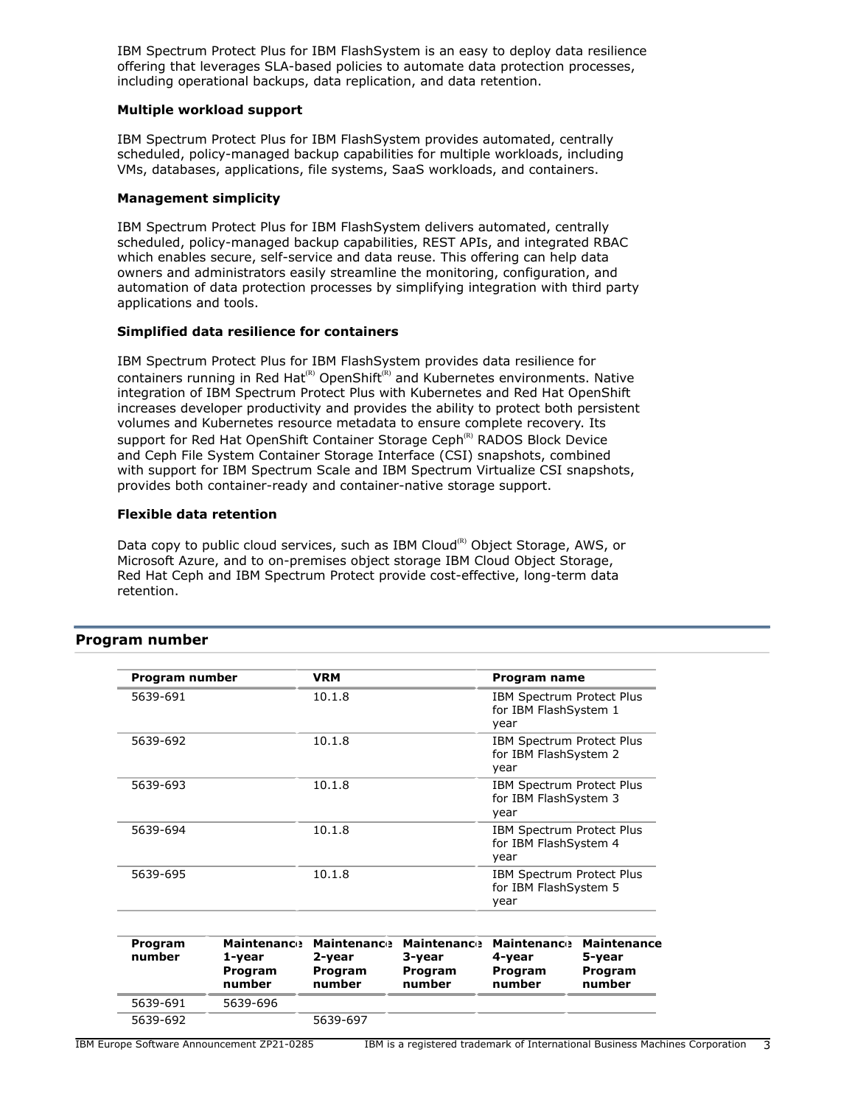IBM Spectrum Protect Plus for IBM FlashSystem is an easy to deploy data resilience offering that leverages SLA-based policies to automate data protection processes, including operational backups, data replication, and data retention.

#### **Multiple workload support**

IBM Spectrum Protect Plus for IBM FlashSystem provides automated, centrally scheduled, policy-managed backup capabilities for multiple workloads, including VMs, databases, applications, file systems, SaaS workloads, and containers.

#### **Management simplicity**

IBM Spectrum Protect Plus for IBM FlashSystem delivers automated, centrally scheduled, policy-managed backup capabilities, REST APIs, and integrated RBAC which enables secure, self-service and data reuse. This offering can help data owners and administrators easily streamline the monitoring, configuration, and automation of data protection processes by simplifying integration with third party applications and tools.

#### **Simplified data resilience for containers**

IBM Spectrum Protect Plus for IBM FlashSystem provides data resilience for containers running in Red Hat<sup>(R)</sup> OpenShift<sup>(R)</sup> and Kubernetes environments. Native integration of IBM Spectrum Protect Plus with Kubernetes and Red Hat OpenShift increases developer productivity and provides the ability to protect both persistent volumes and Kubernetes resource metadata to ensure complete recovery. Its support for Red Hat OpenShift Container Storage Ceph<sup>(R)</sup> RADOS Block Device and Ceph File System Container Storage Interface (CSI) snapshots, combined with support for IBM Spectrum Scale and IBM Spectrum Virtualize CSI snapshots, provides both container-ready and container-native storage support.

#### **Flexible data retention**

Data copy to public cloud services, such as IBM Cloud<sup>(R)</sup> Object Storage, AWS, or Microsoft Azure, and to on-premises object storage IBM Cloud Object Storage, Red Hat Ceph and IBM Spectrum Protect provide cost-effective, long-term data retention.

# <span id="page-2-0"></span>**Program number**

| Program number    |                                                   | <b>VRM</b>                                        |                                                   | Program name                                                      |                                                   |
|-------------------|---------------------------------------------------|---------------------------------------------------|---------------------------------------------------|-------------------------------------------------------------------|---------------------------------------------------|
| 5639-691          |                                                   | 10.1.8                                            |                                                   | <b>IBM Spectrum Protect Plus</b><br>for IBM FlashSystem 1<br>year |                                                   |
| 5639-692          |                                                   | 10.1.8                                            |                                                   | IBM Spectrum Protect Plus<br>for IBM FlashSystem 2<br>year        |                                                   |
| 5639-693          |                                                   | 10.1.8                                            |                                                   | IBM Spectrum Protect Plus<br>for IBM FlashSystem 3<br>year        |                                                   |
| 5639-694          |                                                   | 10.1.8                                            |                                                   | <b>IBM Spectrum Protect Plus</b><br>for IBM FlashSystem 4<br>year |                                                   |
| 5639-695          |                                                   | 10.1.8                                            |                                                   | <b>IBM Spectrum Protect Plus</b><br>for IBM FlashSystem 5<br>year |                                                   |
| Program<br>number | <b>Maintenance</b><br>1-year<br>Program<br>number | <b>Maintenance</b><br>2-year<br>Program<br>number | <b>Maintenance</b><br>3-year<br>Program<br>number | <b>Maintenance</b><br>4-year<br>Program<br>number                 | <b>Maintenance</b><br>5-year<br>Program<br>number |
| 5639-691          | 5639-696                                          |                                                   |                                                   |                                                                   |                                                   |
| 5639-692          |                                                   | 5639-697                                          |                                                   |                                                                   |                                                   |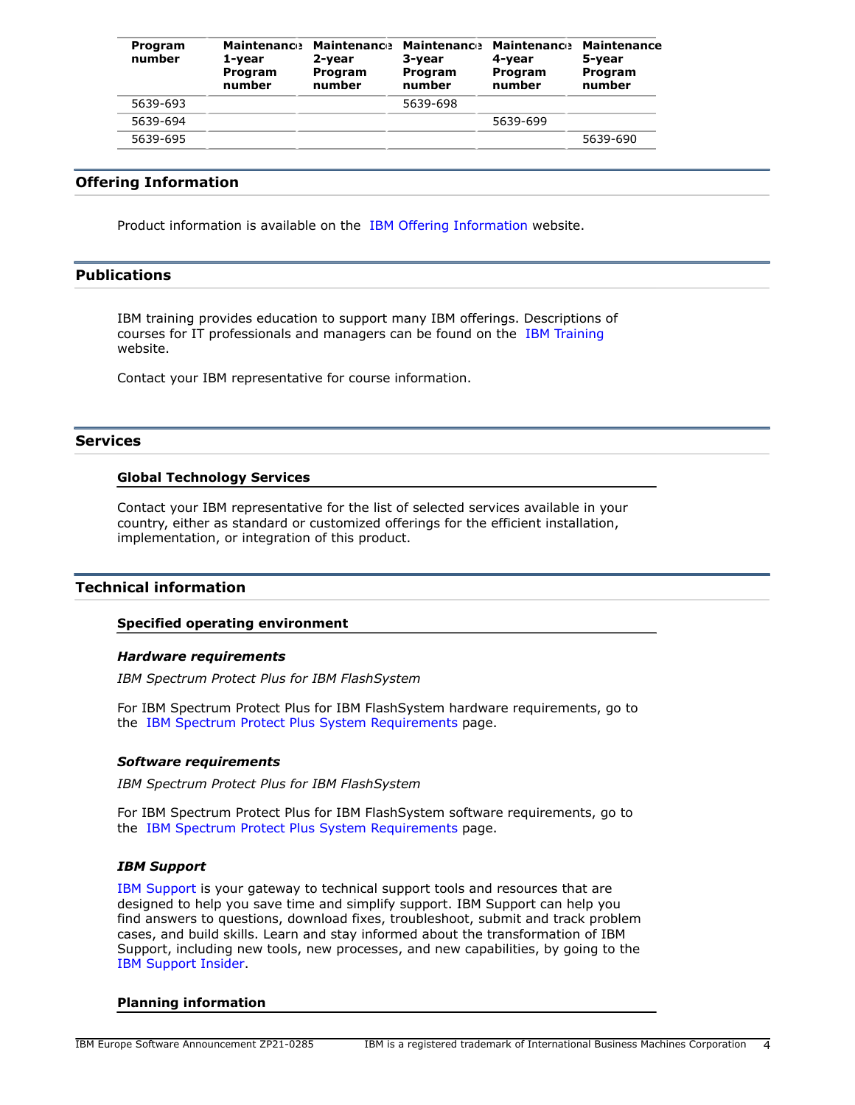| Program<br>number | 1-year<br>Program<br>number | 2-year<br>Program<br>number | Maintenance Maintenance Maintenance Maintenance<br>3-year<br>Program<br>number | 4-vear<br>Program<br>number | <b>Maintenance</b><br>5-year<br>Program<br>number |
|-------------------|-----------------------------|-----------------------------|--------------------------------------------------------------------------------|-----------------------------|---------------------------------------------------|
| 5639-693          |                             |                             | 5639-698                                                                       |                             |                                                   |
| 5639-694          |                             |                             |                                                                                | 5639-699                    |                                                   |
| 5639-695          |                             |                             |                                                                                |                             | 5639-690                                          |

## **Offering Information**

Product information is available on the [IBM Offering Information](http://www.ibm.com/common/ssi) website.

# <span id="page-3-1"></span>**Publications**

IBM training provides education to support many IBM offerings. Descriptions of courses for IT professionals and managers can be found on the [IBM Training](http://www.ibm.com/services/learning/) website.

Contact your IBM representative for course information.

#### **Services**

## **Global Technology Services**

Contact your IBM representative for the list of selected services available in your country, either as standard or customized offerings for the efficient installation, implementation, or integration of this product.

#### <span id="page-3-0"></span>**Technical information**

#### **Specified operating environment**

#### *Hardware requirements*

*IBM Spectrum Protect Plus for IBM FlashSystem*

For IBM Spectrum Protect Plus for IBM FlashSystem hardware requirements, go to the [IBM Spectrum Protect Plus System Requirements](https://www.ibm.com/support/pages/node/6416669) page.

#### <span id="page-3-2"></span>*Software requirements*

*IBM Spectrum Protect Plus for IBM FlashSystem*

For IBM Spectrum Protect Plus for IBM FlashSystem software requirements, go to the [IBM Spectrum Protect Plus System Requirements](https://www.ibm.com/support/pages/node/6416669) page.

## *IBM Support*

[IBM Support](https://www.ibm.com/support) is your gateway to technical support tools and resources that are designed to help you save time and simplify support. IBM Support can help you find answers to questions, download fixes, troubleshoot, submit and track problem cases, and build skills. Learn and stay informed about the transformation of IBM Support, including new tools, new processes, and new capabilities, by going to the [IBM Support Insider](https://www.ibm.com/support/insider).

#### **Planning information**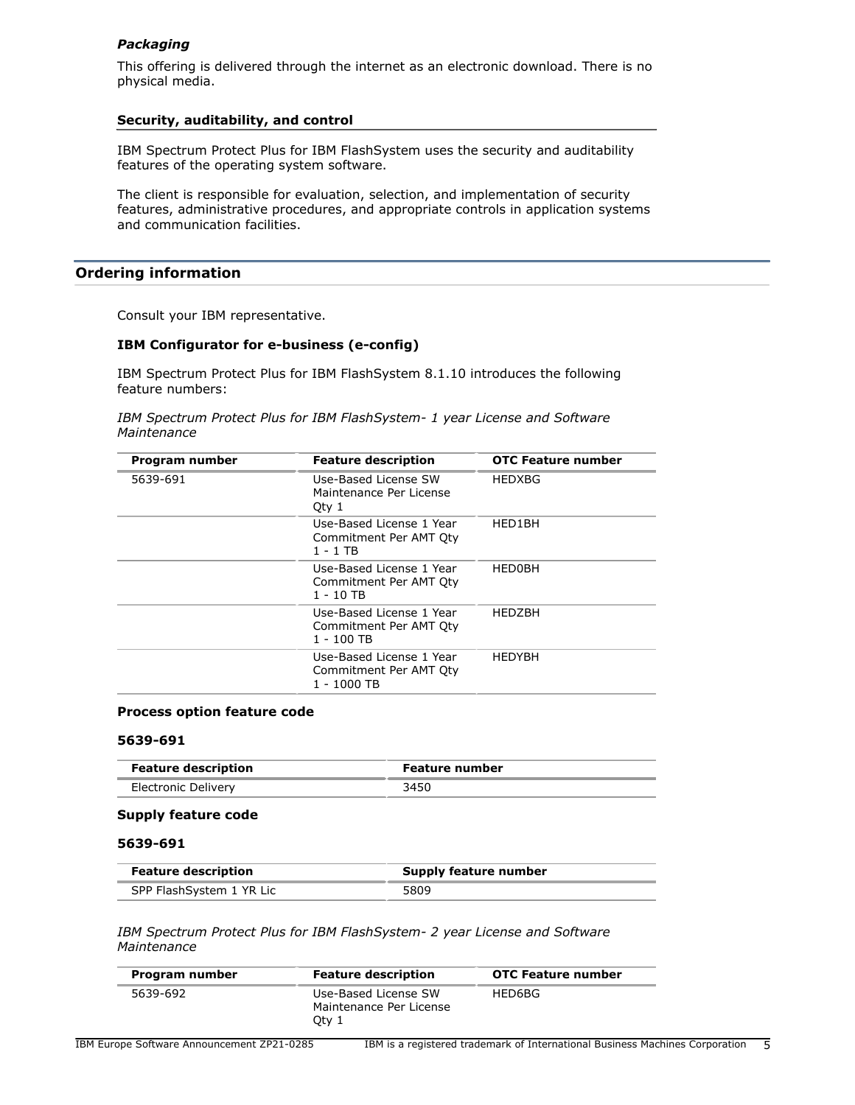## *Packaging*

This offering is delivered through the internet as an electronic download. There is no physical media.

## **Security, auditability, and control**

IBM Spectrum Protect Plus for IBM FlashSystem uses the security and auditability features of the operating system software.

The client is responsible for evaluation, selection, and implementation of security features, administrative procedures, and appropriate controls in application systems and communication facilities.

## <span id="page-4-0"></span>**Ordering information**

Consult your IBM representative.

## **IBM Configurator for e-business (e-config)**

IBM Spectrum Protect Plus for IBM FlashSystem 8.1.10 introduces the following feature numbers:

*IBM Spectrum Protect Plus for IBM FlashSystem- 1 year License and Software Maintenance*

| Program number | <b>Feature description</b>                                        | <b>OTC Feature number</b> |
|----------------|-------------------------------------------------------------------|---------------------------|
| 5639-691       | Use-Based License SW<br>Maintenance Per License<br>Qty 1          | <b>HEDXBG</b>             |
|                | Use-Based License 1 Year<br>Commitment Per AMT Oty<br>1 - 1 TB    | HED1BH                    |
|                | Use-Based License 1 Year<br>Commitment Per AMT Qty<br>1 - 10 TB   | <b>HED0BH</b>             |
|                | Use-Based License 1 Year<br>Commitment Per AMT Qty<br>1 - 100 TB  | <b>HEDZBH</b>             |
|                | Use-Based License 1 Year<br>Commitment Per AMT Qty<br>1 - 1000 TB | <b>HEDYBH</b>             |

#### **Process option feature code**

#### **5639-691**

| <b>Feature description</b> | <b>Feature number</b> |
|----------------------------|-----------------------|
| Electronic Delivery        | 3450                  |

## **Supply feature code**

#### **5639-691**

| <b>Feature description</b> | Supply feature number |  |
|----------------------------|-----------------------|--|
| SPP FlashSystem 1 YR Lic   | 5809                  |  |

*IBM Spectrum Protect Plus for IBM FlashSystem- 2 year License and Software Maintenance*

| Program number | <b>Feature description</b>                               | <b>OTC Feature number</b> |
|----------------|----------------------------------------------------------|---------------------------|
| 5639-692       | Use-Based License SW<br>Maintenance Per License<br>Otv 1 | HED6BG                    |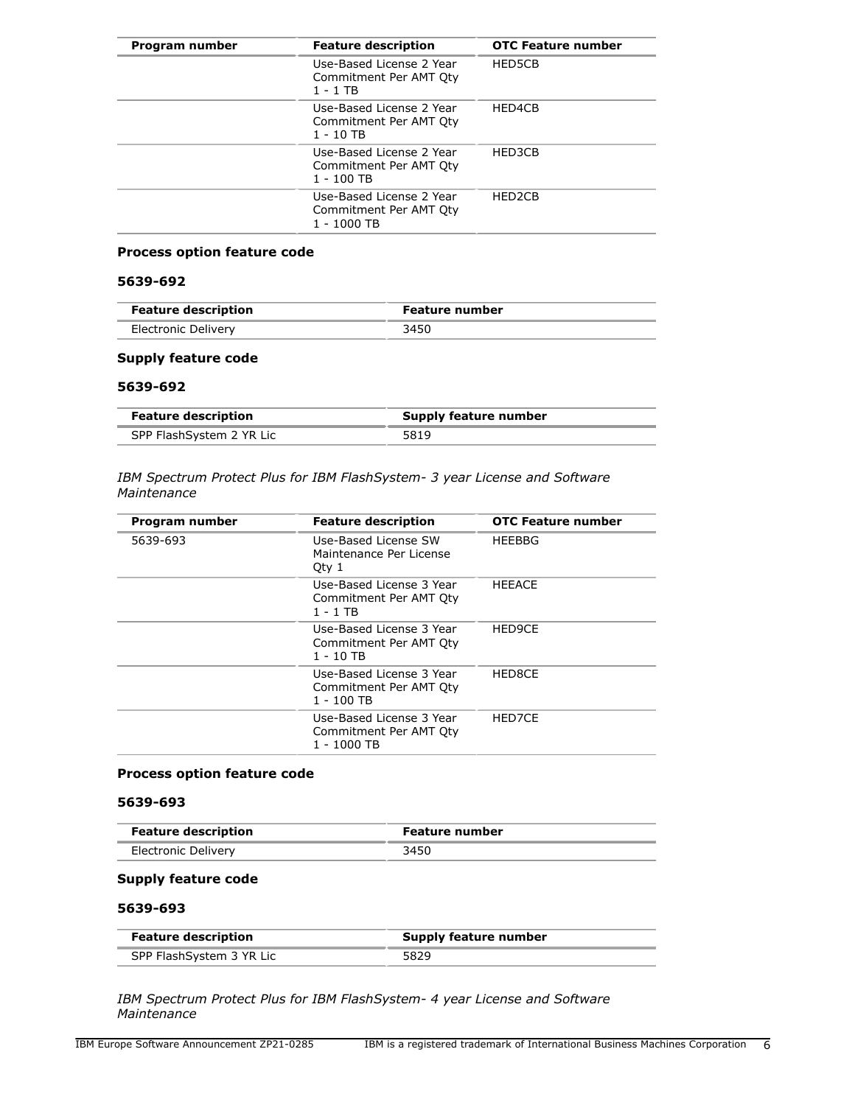| Program number | <b>Feature description</b>                                        | <b>OTC Feature number</b> |
|----------------|-------------------------------------------------------------------|---------------------------|
|                | Use-Based License 2 Year<br>Commitment Per AMT Oty<br>1 - 1 TB    | HED5CB                    |
|                | Use-Based License 2 Year<br>Commitment Per AMT Oty<br>1 - 10 TB   | HED4CB                    |
|                | Use-Based License 2 Year<br>Commitment Per AMT Oty<br>1 - 100 TB  | HFD3CB                    |
|                | Use-Based License 2 Year<br>Commitment Per AMT Oty<br>1 - 1000 TB | HED <sub>2</sub> CB       |

# **Process option feature code**

# **5639-692**

| <b>Feature description</b> | <b>Feature number</b> |  |
|----------------------------|-----------------------|--|
| Electronic Delivery        | 3450                  |  |

## **Supply feature code**

## **5639-692**

| <b>Feature description</b> | Supply feature number |
|----------------------------|-----------------------|
| SPP FlashSystem 2 YR Lic   | 5819                  |

## *IBM Spectrum Protect Plus for IBM FlashSystem- 3 year License and Software Maintenance*

| Program number | <b>Feature description</b>                                        | <b>OTC Feature number</b> |
|----------------|-------------------------------------------------------------------|---------------------------|
| 5639-693       | Use-Based License SW<br>Maintenance Per License<br>Oty 1          | <b>HEEBBG</b>             |
|                | Use-Based License 3 Year<br>Commitment Per AMT Oty<br>1 - 1 TB    | <b>HEEACE</b>             |
|                | Use-Based License 3 Year<br>Commitment Per AMT Oty<br>1 - 10 TB   | HED9CE                    |
|                | Use-Based License 3 Year<br>Commitment Per AMT Qty<br>1 - 100 TB  | HED8CE                    |
|                | Use-Based License 3 Year<br>Commitment Per AMT Oty<br>1 - 1000 TB | HED7CE                    |

## **Process option feature code**

# **5639-693**

| <b>Feature description</b> | <b>Feature number</b> |  |
|----------------------------|-----------------------|--|
| Electronic Delivery        |                       |  |

# **Supply feature code**

## **5639-693**

| <b>Feature description</b> | Supply feature number |
|----------------------------|-----------------------|
| SPP FlashSystem 3 YR Lic   | 5829                  |

*IBM Spectrum Protect Plus for IBM FlashSystem- 4 year License and Software Maintenance*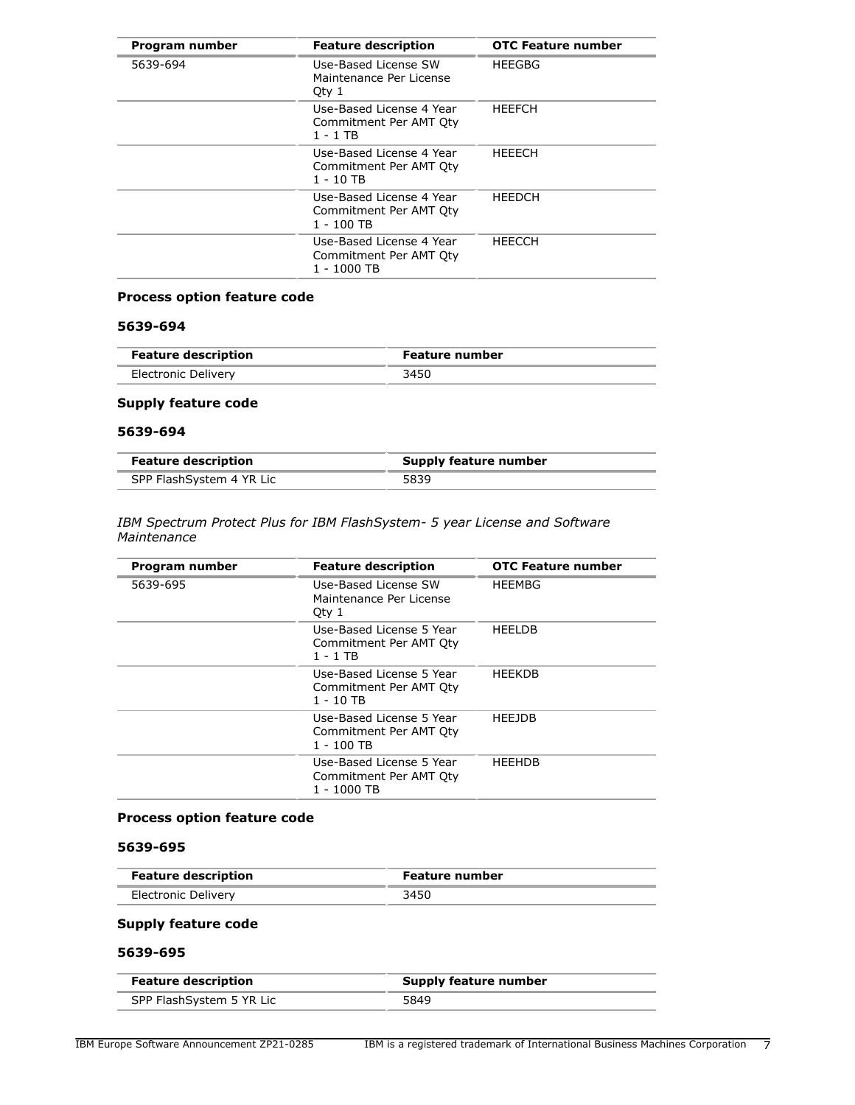| Program number | <b>Feature description</b>                                        | <b>OTC Feature number</b> |
|----------------|-------------------------------------------------------------------|---------------------------|
| 5639-694       | Use-Based License SW<br>Maintenance Per License<br>Qty 1          | <b>HEEGBG</b>             |
|                | Use-Based License 4 Year<br>Commitment Per AMT Qty<br>1 - 1 TB    | <b>HFFFCH</b>             |
|                | Use-Based License 4 Year<br>Commitment Per AMT Oty<br>1 - 10 TB   | <b>HEEECH</b>             |
|                | Use-Based License 4 Year<br>Commitment Per AMT Oty<br>1 - 100 TB  | <b>HEEDCH</b>             |
|                | Use-Based License 4 Year<br>Commitment Per AMT Oty<br>1 - 1000 TB | HEECCH                    |

# **Process option feature code**

# **5639-694**

| <b>Feature description</b> | <b>Feature number</b> |
|----------------------------|-----------------------|
| Electronic Delivery        | 3450                  |

# **Supply feature code**

#### **5639-694**

| <b>Feature description</b> | Supply feature number |
|----------------------------|-----------------------|
| SPP FlashSystem 4 YR Lic   | 5839                  |

#### *IBM Spectrum Protect Plus for IBM FlashSystem- 5 year License and Software Maintenance*

| Program number | <b>Feature description</b>                                        | <b>OTC Feature number</b> |
|----------------|-------------------------------------------------------------------|---------------------------|
| 5639-695       | Use-Based License SW<br>Maintenance Per License<br>Qty 1          | <b>HEEMBG</b>             |
|                | Use-Based License 5 Year<br>Commitment Per AMT Oty<br>1 - 1 TB    | <b>HEELDB</b>             |
|                | Use-Based License 5 Year<br>Commitment Per AMT Qty<br>1 - 10 TB   | <b>HEEKDB</b>             |
|                | Use-Based License 5 Year<br>Commitment Per AMT Oty<br>1 - 100 TB  | <b>HEEJDB</b>             |
|                | Use-Based License 5 Year<br>Commitment Per AMT Qty<br>1 - 1000 TB | <b>HFFHDB</b>             |

## **Process option feature code**

## **5639-695**

| <b>Feature description</b> | Feature number |
|----------------------------|----------------|
| Electronic Delivery        | 3450           |

# **Supply feature code**

# **5639-695**

| <b>Feature description</b> | Supply feature number |
|----------------------------|-----------------------|
| SPP FlashSystem 5 YR Lic   | 5849                  |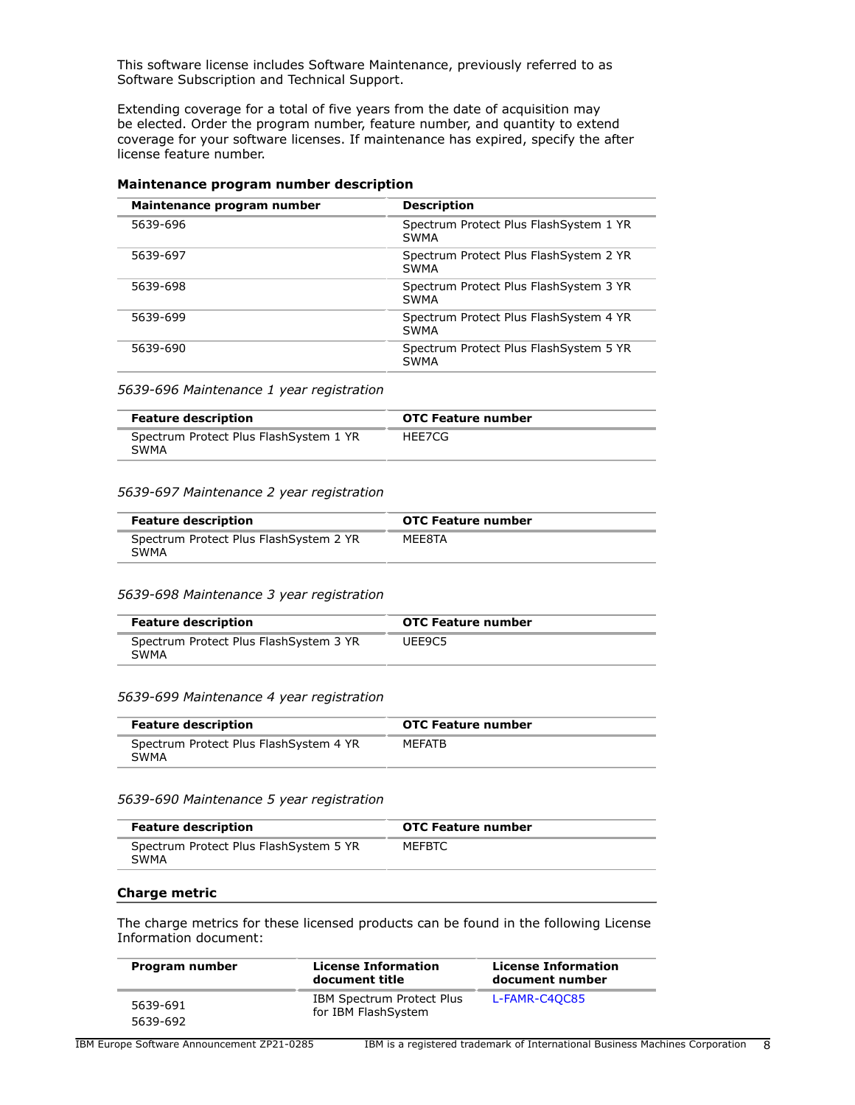This software license includes Software Maintenance, previously referred to as Software Subscription and Technical Support.

Extending coverage for a total of five years from the date of acquisition may be elected. Order the program number, feature number, and quantity to extend coverage for your software licenses. If maintenance has expired, specify the after license feature number.

| Maintenance program number | <b>Description</b>                              |
|----------------------------|-------------------------------------------------|
| 5639-696                   | Spectrum Protect Plus Flash System 1 YR<br>SWMA |
| 5639-697                   | Spectrum Protect Plus Flash System 2 YR<br>SWMA |
| 5639-698                   | Spectrum Protect Plus Flash System 3 YR<br>SWMA |
| 5639-699                   | Spectrum Protect Plus Flash System 4 YR<br>SWMA |
| 5639-690                   | Spectrum Protect Plus FlashSystem 5 YR<br>SWMA  |

## **Maintenance program number description**

*5639-696 Maintenance 1 year registration*

| <b>Feature description</b>                             | <b>OTC Feature number</b> |
|--------------------------------------------------------|---------------------------|
| Spectrum Protect Plus Flash System 1 YR<br><b>SWMA</b> | HEE7CG                    |

#### *5639-697 Maintenance 2 year registration*

| <b>Feature description</b>                      | OTC Feature number |
|-------------------------------------------------|--------------------|
| Spectrum Protect Plus Flash System 2 YR<br>SWMA | MEE8TA             |

#### *5639-698 Maintenance 3 year registration*

| <b>Feature description</b>                      | <b>OTC Feature number</b> |
|-------------------------------------------------|---------------------------|
| Spectrum Protect Plus Flash System 3 YR<br>SWMA | UEE9C5                    |

#### *5639-699 Maintenance 4 year registration*

| <b>Feature description</b>                     | OTC Feature number |
|------------------------------------------------|--------------------|
| Spectrum Protect Plus FlashSystem 4 YR<br>SWMA | <b>MFFATB</b>      |

#### *5639-690 Maintenance 5 year registration*

| <b>Feature description</b>                      | <b>OTC Feature number</b> |
|-------------------------------------------------|---------------------------|
| Spectrum Protect Plus Flash System 5 YR<br>SWMA | MEFBTC                    |

#### **Charge metric**

The charge metrics for these licensed products can be found in the following License Information document:

| Program number       | <b>License Information</b><br>document title     | <b>License Information</b><br>document number |
|----------------------|--------------------------------------------------|-----------------------------------------------|
| 5639-691<br>5639-692 | IBM Spectrum Protect Plus<br>for IBM FlashSystem | L-FAMR-C4OC85                                 |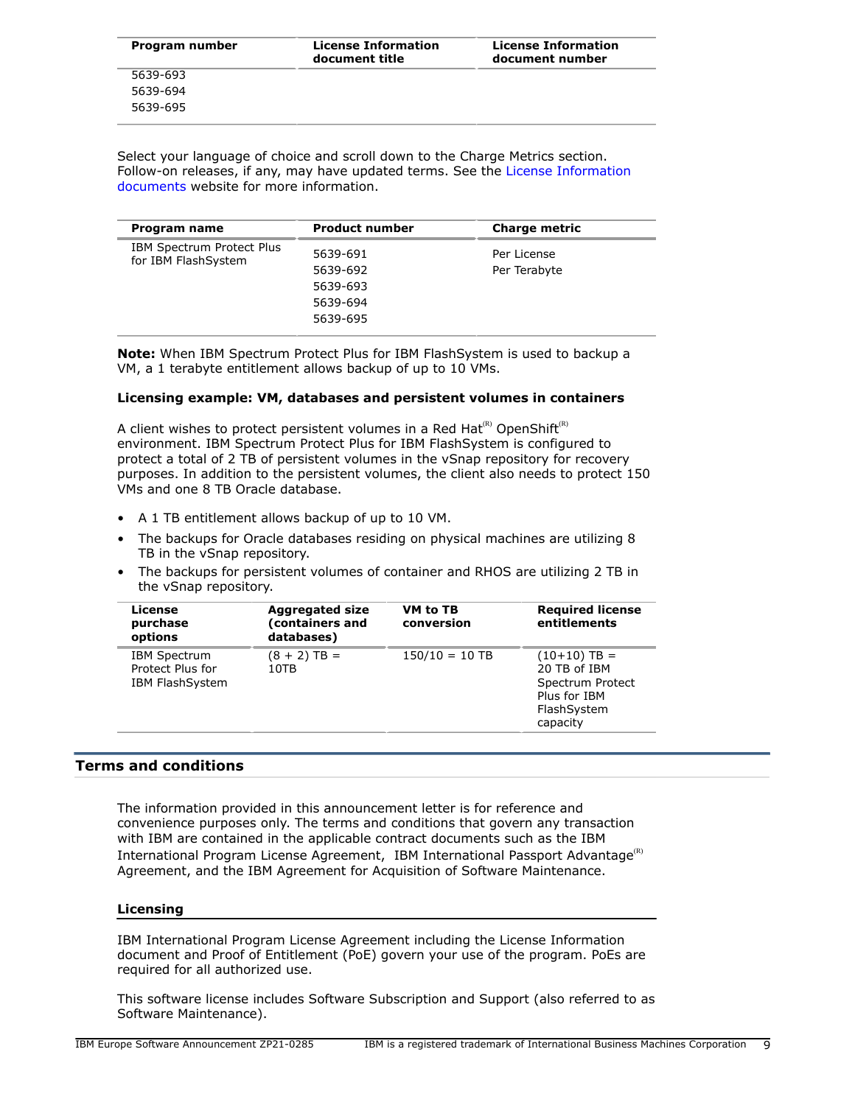| Program number | <b>License Information</b><br>document title | <b>License Information</b><br>document number |
|----------------|----------------------------------------------|-----------------------------------------------|
| 5639-693       |                                              |                                               |
| 5639-694       |                                              |                                               |
| 5639-695       |                                              |                                               |

Select your language of choice and scroll down to the Charge Metrics section. Follow-on releases, if any, may have updated terms. See the [License Information](https://www.ibm.com/software/sla/sladb.nsf/search?OpenForm) [documents](https://www.ibm.com/software/sla/sladb.nsf/search?OpenForm) website for more information.

| Program name                                     | <b>Product number</b>                                    | <b>Charge metric</b>        |
|--------------------------------------------------|----------------------------------------------------------|-----------------------------|
| IBM Spectrum Protect Plus<br>for IBM FlashSystem | 5639-691<br>5639-692<br>5639-693<br>5639-694<br>5639-695 | Per License<br>Per Terabyte |

**Note:** When IBM Spectrum Protect Plus for IBM FlashSystem is used to backup a VM, a 1 terabyte entitlement allows backup of up to 10 VMs.

#### **Licensing example: VM, databases and persistent volumes in containers**

A client wishes to protect persistent volumes in a Red Hat<sup>(R)</sup> OpenShift<sup>(R)</sup> environment. IBM Spectrum Protect Plus for IBM FlashSystem is configured to protect a total of 2 TB of persistent volumes in the vSnap repository for recovery purposes. In addition to the persistent volumes, the client also needs to protect 150 VMs and one 8 TB Oracle database.

- A 1 TB entitlement allows backup of up to 10 VM.
- The backups for Oracle databases residing on physical machines are utilizing 8 TB in the vSnap repository.
- The backups for persistent volumes of container and RHOS are utilizing 2 TB in the vSnap repository.

| License<br>purchase<br>options                                    | <b>Aggregated size</b><br>(containers and<br>databases) | VM to TB<br>conversion | <b>Required license</b><br>entitlements                                                       |
|-------------------------------------------------------------------|---------------------------------------------------------|------------------------|-----------------------------------------------------------------------------------------------|
| <b>IBM Spectrum</b><br>Protect Plus for<br><b>IBM FlashSystem</b> | $(8 + 2)$ TB =<br>10TB                                  | $150/10 = 10$ TB       | $(10+10)$ TB =<br>20 TB of IBM<br>Spectrum Protect<br>Plus for IBM<br>FlashSystem<br>capacity |

## <span id="page-8-0"></span>**Terms and conditions**

The information provided in this announcement letter is for reference and convenience purposes only. The terms and conditions that govern any transaction with IBM are contained in the applicable contract documents such as the IBM International Program License Agreement, IBM International Passport Advantage<sup>(R)</sup> Agreement, and the IBM Agreement for Acquisition of Software Maintenance.

#### **Licensing**

IBM International Program License Agreement including the License Information document and Proof of Entitlement (PoE) govern your use of the program. PoEs are required for all authorized use.

This software license includes Software Subscription and Support (also referred to as Software Maintenance).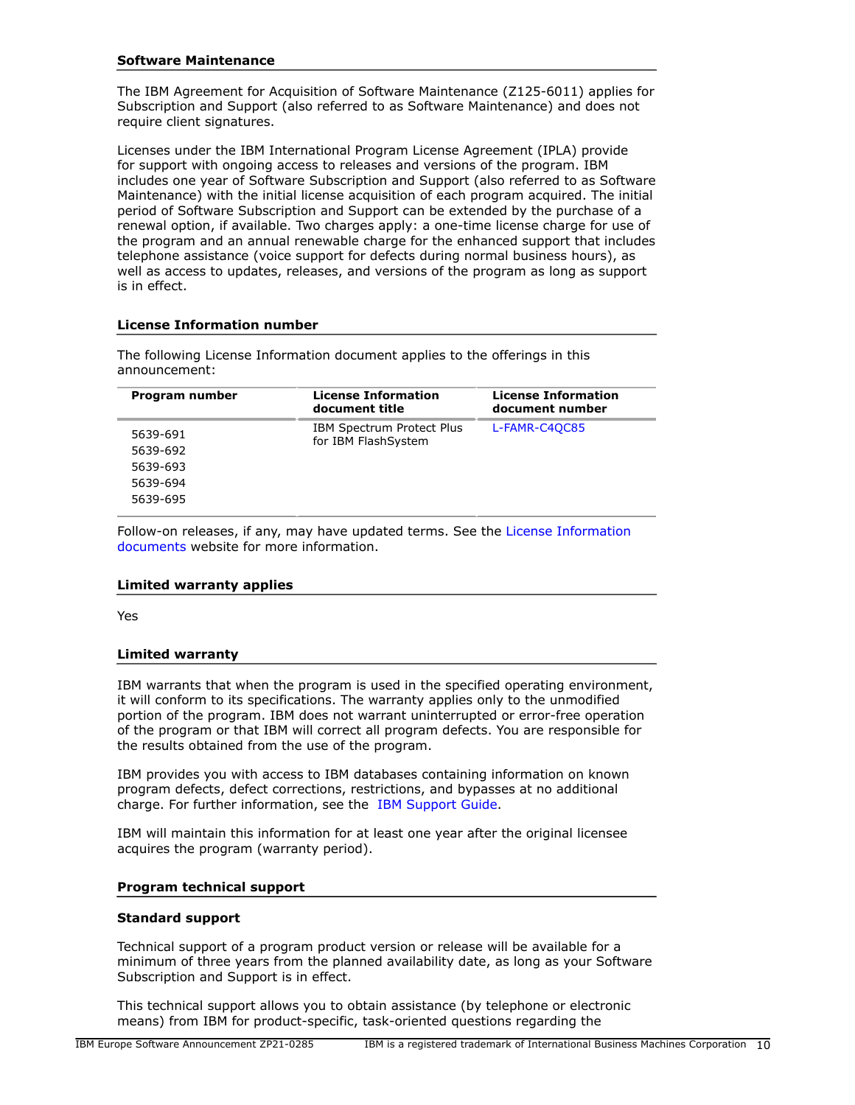## **Software Maintenance**

The IBM Agreement for Acquisition of Software Maintenance (Z125-6011) applies for Subscription and Support (also referred to as Software Maintenance) and does not require client signatures.

Licenses under the IBM International Program License Agreement (IPLA) provide for support with ongoing access to releases and versions of the program. IBM includes one year of Software Subscription and Support (also referred to as Software Maintenance) with the initial license acquisition of each program acquired. The initial period of Software Subscription and Support can be extended by the purchase of a renewal option, if available. Two charges apply: a one-time license charge for use of the program and an annual renewable charge for the enhanced support that includes telephone assistance (voice support for defects during normal business hours), as well as access to updates, releases, and versions of the program as long as support is in effect.

#### **License Information number**

The following License Information document applies to the offerings in this announcement:

| Program number | <b>License Information</b><br>document title            | <b>License Information</b><br>document number |
|----------------|---------------------------------------------------------|-----------------------------------------------|
| 5639-691       | <b>IBM Spectrum Protect Plus</b><br>for IBM FlashSystem | L-FAMR-C4QC85                                 |
| 5639-692       |                                                         |                                               |
| 5639-693       |                                                         |                                               |
| 5639-694       |                                                         |                                               |
| 5639-695       |                                                         |                                               |

Follow-on releases, if any, may have updated terms. See the [License Information](https://www.ibm.com/software/sla/sladb.nsf/search?OpenForm) [documents](https://www.ibm.com/software/sla/sladb.nsf/search?OpenForm) website for more information.

#### **Limited warranty applies**

Yes

#### **Limited warranty**

IBM warrants that when the program is used in the specified operating environment, it will conform to its specifications. The warranty applies only to the unmodified portion of the program. IBM does not warrant uninterrupted or error-free operation of the program or that IBM will correct all program defects. You are responsible for the results obtained from the use of the program.

IBM provides you with access to IBM databases containing information on known program defects, defect corrections, restrictions, and bypasses at no additional charge. For further information, see the [IBM Support Guide](http://www.ibm.com/support/customercare/sas/f/handbook/home.html).

IBM will maintain this information for at least one year after the original licensee acquires the program (warranty period).

#### **Program technical support**

#### **Standard support**

Technical support of a program product version or release will be available for a minimum of three years from the planned availability date, as long as your Software Subscription and Support is in effect.

This technical support allows you to obtain assistance (by telephone or electronic means) from IBM for product-specific, task-oriented questions regarding the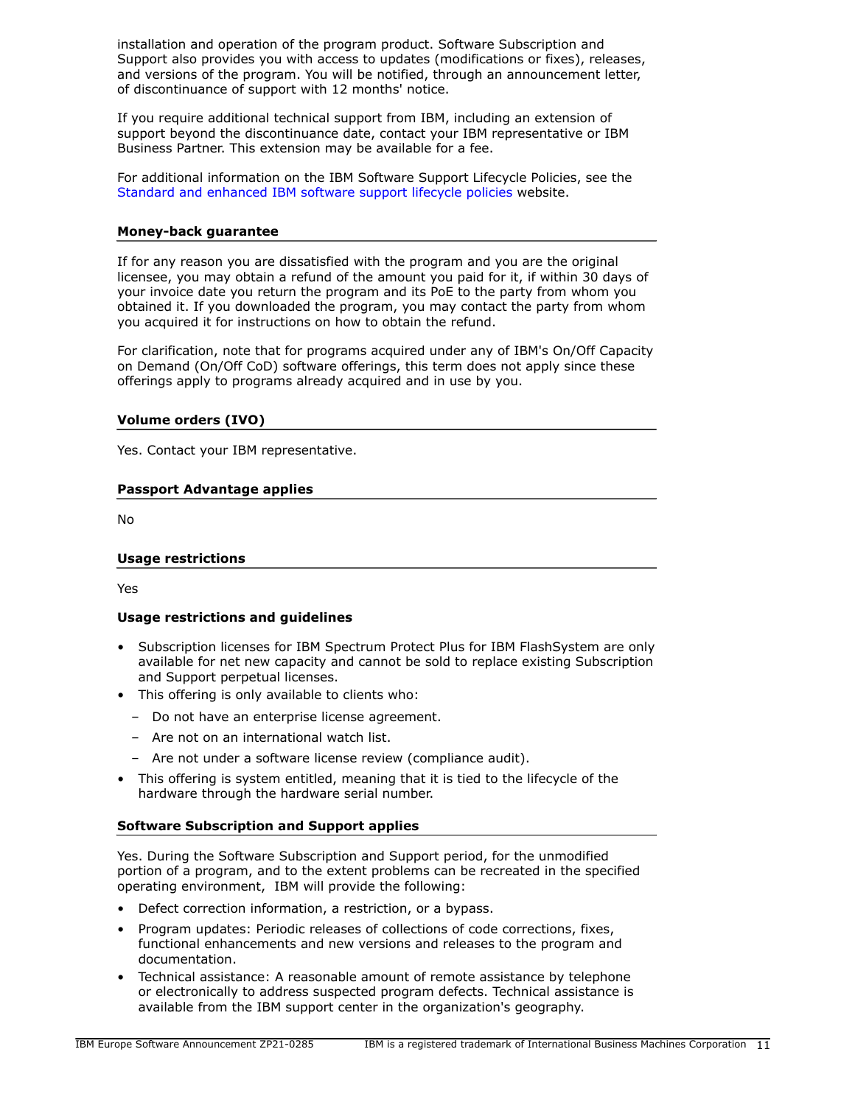installation and operation of the program product. Software Subscription and Support also provides you with access to updates (modifications or fixes), releases, and versions of the program. You will be notified, through an announcement letter, of discontinuance of support with 12 months' notice.

If you require additional technical support from IBM, including an extension of support beyond the discontinuance date, contact your IBM representative or IBM Business Partner. This extension may be available for a fee.

For additional information on the IBM Software Support Lifecycle Policies, see the [Standard and enhanced IBM software support lifecycle policies](http://www.ibm.com/software/support/lifecycle/lc-policy.html) website.

#### **Money-back guarantee**

If for any reason you are dissatisfied with the program and you are the original licensee, you may obtain a refund of the amount you paid for it, if within 30 days of your invoice date you return the program and its PoE to the party from whom you obtained it. If you downloaded the program, you may contact the party from whom you acquired it for instructions on how to obtain the refund.

For clarification, note that for programs acquired under any of IBM's On/Off Capacity on Demand (On/Off CoD) software offerings, this term does not apply since these offerings apply to programs already acquired and in use by you.

## **Volume orders (IVO)**

Yes. Contact your IBM representative.

## **Passport Advantage applies**

No

## **Usage restrictions**

Yes

## **Usage restrictions and guidelines**

- Subscription licenses for IBM Spectrum Protect Plus for IBM FlashSystem are only available for net new capacity and cannot be sold to replace existing Subscription and Support perpetual licenses.
- This offering is only available to clients who:
	- Do not have an enterprise license agreement.
	- Are not on an international watch list.
	- Are not under a software license review (compliance audit).
- This offering is system entitled, meaning that it is tied to the lifecycle of the hardware through the hardware serial number.

#### **Software Subscription and Support applies**

Yes. During the Software Subscription and Support period, for the unmodified portion of a program, and to the extent problems can be recreated in the specified operating environment, IBM will provide the following:

- Defect correction information, a restriction, or a bypass.
- Program updates: Periodic releases of collections of code corrections, fixes, functional enhancements and new versions and releases to the program and documentation.
- Technical assistance: A reasonable amount of remote assistance by telephone or electronically to address suspected program defects. Technical assistance is available from the IBM support center in the organization's geography.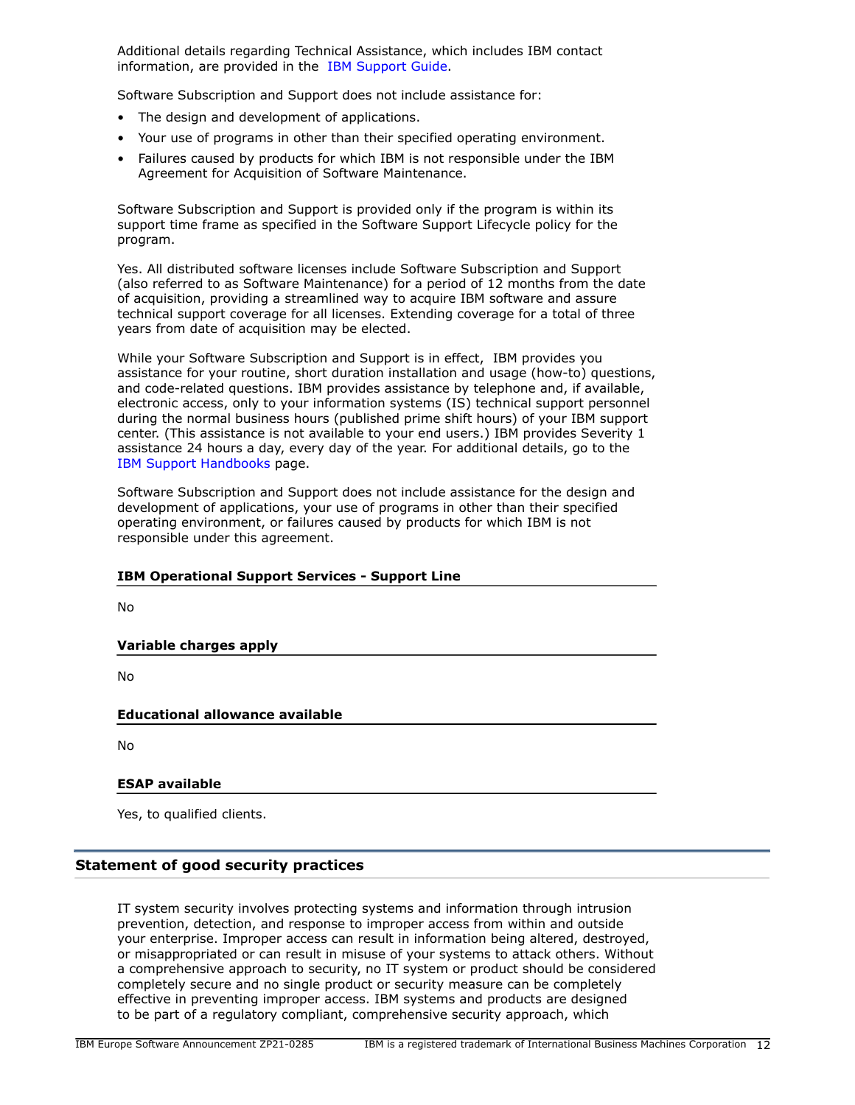Additional details regarding Technical Assistance, which includes IBM contact information, are provided in the [IBM Support Guide](http://www.ibm.com/support/customercare/sas/f/handbook/home.html).

Software Subscription and Support does not include assistance for:

- The design and development of applications.
- Your use of programs in other than their specified operating environment.
- Failures caused by products for which IBM is not responsible under the IBM Agreement for Acquisition of Software Maintenance.

Software Subscription and Support is provided only if the program is within its support time frame as specified in the Software Support Lifecycle policy for the program.

Yes. All distributed software licenses include Software Subscription and Support (also referred to as Software Maintenance) for a period of 12 months from the date of acquisition, providing a streamlined way to acquire IBM software and assure technical support coverage for all licenses. Extending coverage for a total of three years from date of acquisition may be elected.

While your Software Subscription and Support is in effect, IBM provides you assistance for your routine, short duration installation and usage (how-to) questions, and code-related questions. IBM provides assistance by telephone and, if available, electronic access, only to your information systems (IS) technical support personnel during the normal business hours (published prime shift hours) of your IBM support center. (This assistance is not available to your end users.) IBM provides Severity 1 assistance 24 hours a day, every day of the year. For additional details, go to the [IBM Support Handbooks](http://www.ibm.com/support/handbook) page.

Software Subscription and Support does not include assistance for the design and development of applications, your use of programs in other than their specified operating environment, or failures caused by products for which IBM is not responsible under this agreement.

## **IBM Operational Support Services - Support Line**

No

#### **Variable charges apply**

No

## **Educational allowance available**

No

## **ESAP available**

Yes, to qualified clients.

## **Statement of good security practices**

IT system security involves protecting systems and information through intrusion prevention, detection, and response to improper access from within and outside your enterprise. Improper access can result in information being altered, destroyed, or misappropriated or can result in misuse of your systems to attack others. Without a comprehensive approach to security, no IT system or product should be considered completely secure and no single product or security measure can be completely effective in preventing improper access. IBM systems and products are designed to be part of a regulatory compliant, comprehensive security approach, which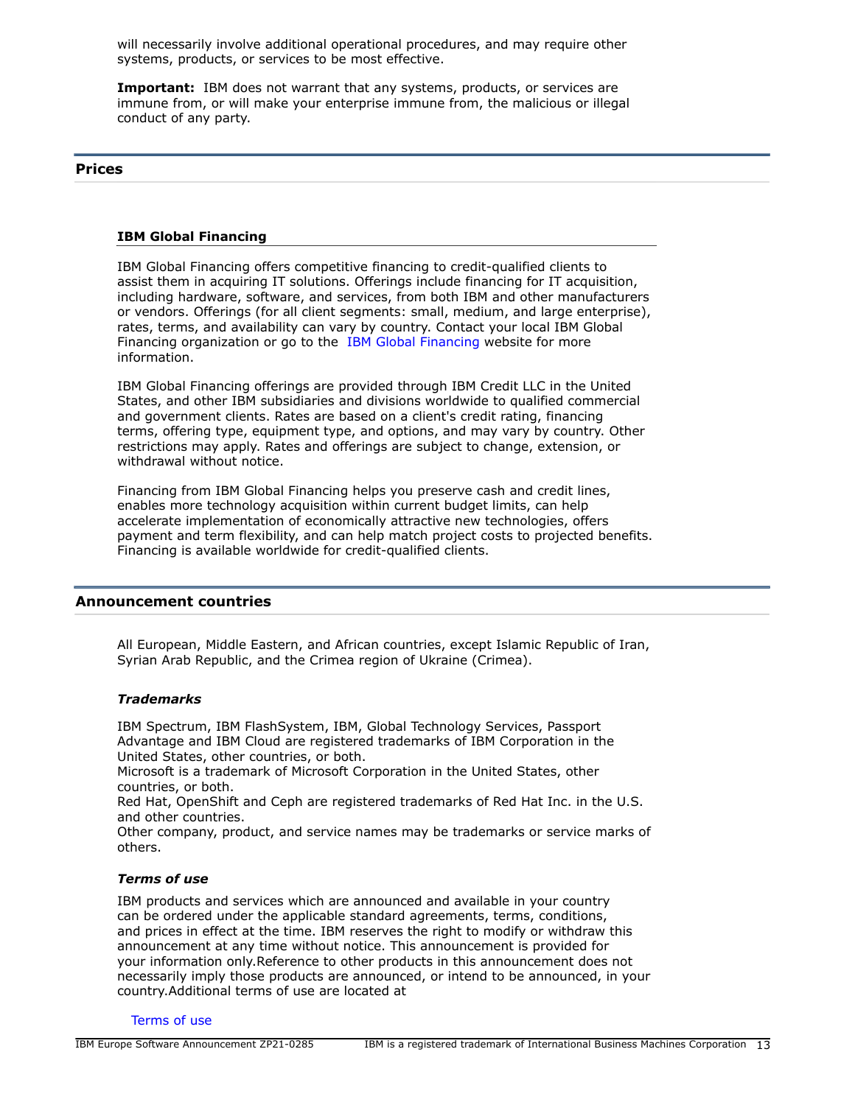will necessarily involve additional operational procedures, and may require other systems, products, or services to be most effective.

**Important:** IBM does not warrant that any systems, products, or services are immune from, or will make your enterprise immune from, the malicious or illegal conduct of any party.

#### <span id="page-12-0"></span>**Prices**

#### **IBM Global Financing**

IBM Global Financing offers competitive financing to credit-qualified clients to assist them in acquiring IT solutions. Offerings include financing for IT acquisition, including hardware, software, and services, from both IBM and other manufacturers or vendors. Offerings (for all client segments: small, medium, and large enterprise), rates, terms, and availability can vary by country. Contact your local IBM Global Financing organization or go to the [IBM Global Financing](http://www.ibm.com/financing) website for more information.

IBM Global Financing offerings are provided through IBM Credit LLC in the United States, and other IBM subsidiaries and divisions worldwide to qualified commercial and government clients. Rates are based on a client's credit rating, financing terms, offering type, equipment type, and options, and may vary by country. Other restrictions may apply. Rates and offerings are subject to change, extension, or withdrawal without notice.

Financing from IBM Global Financing helps you preserve cash and credit lines, enables more technology acquisition within current budget limits, can help accelerate implementation of economically attractive new technologies, offers payment and term flexibility, and can help match project costs to projected benefits. Financing is available worldwide for credit-qualified clients.

## <span id="page-12-1"></span>**Announcement countries**

All European, Middle Eastern, and African countries, except Islamic Republic of Iran, Syrian Arab Republic, and the Crimea region of Ukraine (Crimea).

#### *Trademarks*

IBM Spectrum, IBM FlashSystem, IBM, Global Technology Services, Passport Advantage and IBM Cloud are registered trademarks of IBM Corporation in the United States, other countries, or both.

Microsoft is a trademark of Microsoft Corporation in the United States, other countries, or both.

Red Hat, OpenShift and Ceph are registered trademarks of Red Hat Inc. in the U.S. and other countries.

Other company, product, and service names may be trademarks or service marks of others.

#### *Terms of use*

IBM products and services which are announced and available in your country can be ordered under the applicable standard agreements, terms, conditions, and prices in effect at the time. IBM reserves the right to modify or withdraw this announcement at any time without notice. This announcement is provided for your information only.Reference to other products in this announcement does not necessarily imply those products are announced, or intend to be announced, in your country.Additional terms of use are located at

[Terms of use](http://www.ibm.com/legal/us/en/)